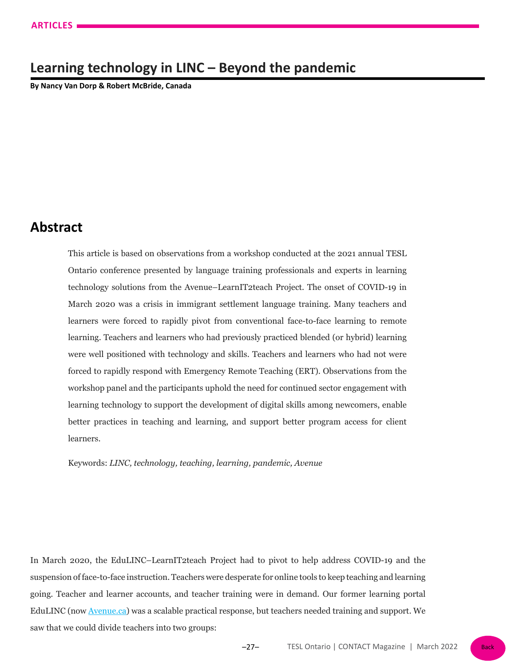# **Learning technology in LINC – Beyond the pandemic**

**By Nancy Van Dorp & Robert McBride, Canada**

## **Abstract**

This article is based on observations from a workshop conducted at the 2021 annual TESL Ontario conference presented by language training professionals and experts in learning technology solutions from the Avenue–LearnIT2teach Project. The onset of COVID-19 in March 2020 was a crisis in immigrant settlement language training. Many teachers and learners were forced to rapidly pivot from conventional face-to-face learning to remote learning. Teachers and learners who had previously practiced blended (or hybrid) learning were well positioned with technology and skills. Teachers and learners who had not were forced to rapidly respond with Emergency Remote Teaching (ERT). Observations from the workshop panel and the participants uphold the need for continued sector engagement with learning technology to support the development of digital skills among newcomers, enable better practices in teaching and learning, and support better program access for client learners.

Keywords: *LINC, technology, teaching, learning, pandemic, Avenue*

In March 2020, the EduLINC–LearnIT2teach Project had to pivot to help address COVID-19 and the suspension of face-to-face instruction. Teachers were desperate for online tools to keep teaching and learning going. Teacher and learner accounts, and teacher training were in demand. Our former learning portal EduLINC (now [Avenue.ca](https://avenue.ca/)) was a scalable practical response, but teachers needed training and support. We saw that we could divide teachers into two groups: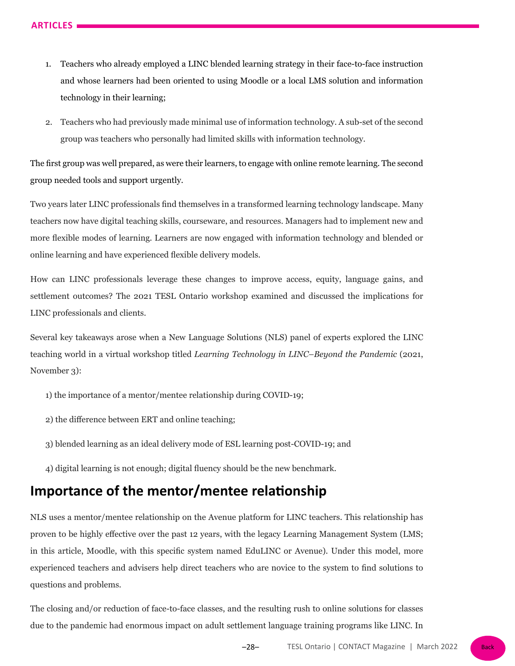- 1. Teachers who already employed a LINC blended learning strategy in their face-to-face instruction and whose learners had been oriented to using Moodle or a local LMS solution and information technology in their learning;
- 2. Teachers who had previously made minimal use of information technology. A sub-set of the second group was teachers who personally had limited skills with information technology.

The first group was well prepared, as were their learners, to engage with online remote learning. The second group needed tools and support urgently.

Two years later LINC professionals find themselves in a transformed learning technology landscape. Many teachers now have digital teaching skills, courseware, and resources. Managers had to implement new and more flexible modes of learning. Learners are now engaged with information technology and blended or online learning and have experienced flexible delivery models.

How can LINC professionals leverage these changes to improve access, equity, language gains, and settlement outcomes? The 2021 TESL Ontario workshop examined and discussed the implications for LINC professionals and clients.

Several key takeaways arose when a New Language Solutions (NLS) panel of experts explored the LINC teaching world in a virtual workshop titled *Learning Technology in LINC–Beyond the Pandemic* (2021, November 3):

- 1) the importance of a mentor/mentee relationship during COVID-19;
- 2) the difference between ERT and online teaching;
- 3) blended learning as an ideal delivery mode of ESL learning post-COVID-19; and
- 4) digital learning is not enough; digital fluency should be the new benchmark.

## **Importance of the mentor/mentee relationship**

NLS uses a mentor/mentee relationship on the Avenue platform for LINC teachers. This relationship has proven to be highly effective over the past 12 years, with the legacy Learning Management System (LMS; in this article, Moodle, with this specific system named EduLINC or Avenue). Under this model, more experienced teachers and advisers help direct teachers who are novice to the system to find solutions to questions and problems.

The closing and/or reduction of face-to-face classes, and the resulting rush to online solutions for classes due to the pandemic had enormous impact on adult settlement language training programs like LINC. In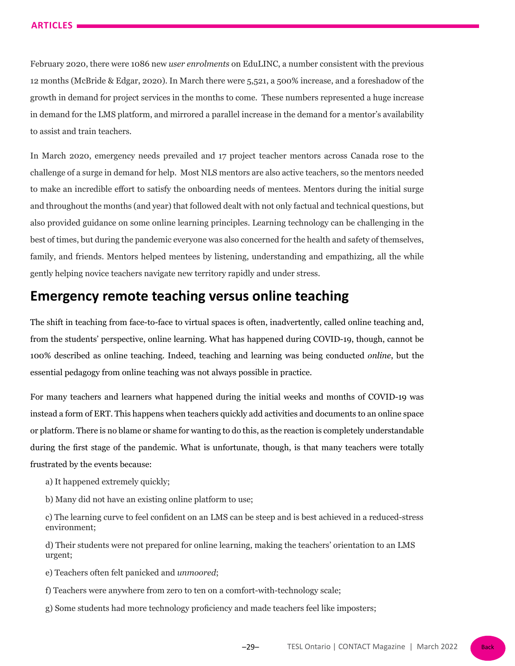February 2020, there were 1086 new *user enrolments* on EduLINC, a number consistent with the previous 12 months (McBride & Edgar, 2020). In March there were 5,521, a 500% increase, and a foreshadow of the growth in demand for project services in the months to come. These numbers represented a huge increase in demand for the LMS platform, and mirrored a parallel increase in the demand for a mentor's availability to assist and train teachers.

In March 2020, emergency needs prevailed and 17 project teacher mentors across Canada rose to the challenge of a surge in demand for help. Most NLS mentors are also active teachers, so the mentors needed to make an incredible effort to satisfy the onboarding needs of mentees. Mentors during the initial surge and throughout the months (and year) that followed dealt with not only factual and technical questions, but also provided guidance on some online learning principles. Learning technology can be challenging in the best of times, but during the pandemic everyone was also concerned for the health and safety of themselves, family, and friends. Mentors helped mentees by listening, understanding and empathizing, all the while gently helping novice teachers navigate new territory rapidly and under stress.

## **Emergency remote teaching versus online teaching**

The shift in teaching from face-to-face to virtual spaces is often, inadvertently, called online teaching and, from the students' perspective, online learning. What has happened during COVID-19, though, cannot be 100% described as online teaching. Indeed, teaching and learning was being conducted *online*, but the essential pedagogy from online teaching was not always possible in practice.

For many teachers and learners what happened during the initial weeks and months of COVID-19 was instead a form of ERT. This happens when teachers quickly add activities and documents to an online space or platform. There is no blame or shame for wanting to do this, as the reaction is completely understandable during the first stage of the pandemic. What is unfortunate, though, is that many teachers were totally frustrated by the events because:

a) It happened extremely quickly;

b) Many did not have an existing online platform to use;

c) The learning curve to feel confident on an LMS can be steep and is best achieved in a reduced-stress environment;

d) Their students were not prepared for online learning, making the teachers' orientation to an LMS urgent;

e) Teachers often felt panicked and *unmoored*;

- f) Teachers were anywhere from zero to ten on a comfort-with-technology scale;
- g) Some students had more technology proficiency and made teachers feel like imposters;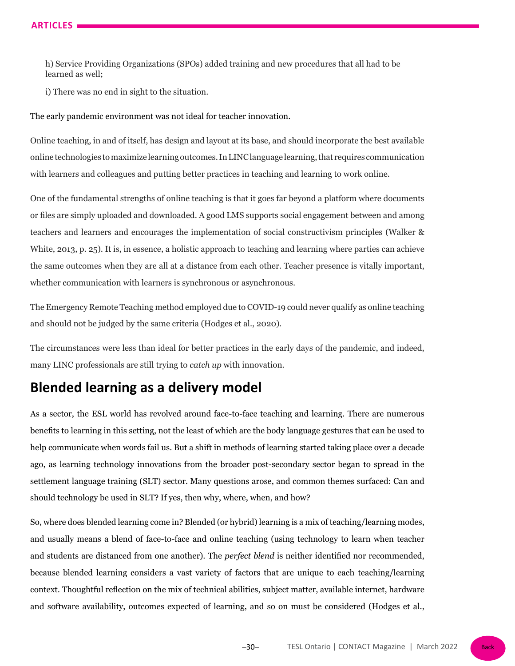h) Service Providing Organizations (SPOs) added training and new procedures that all had to be learned as well;

i) There was no end in sight to the situation.

The early pandemic environment was not ideal for teacher innovation.

Online teaching, in and of itself, has design and layout at its base, and should incorporate the best available online technologies to maximize learning outcomes. In LINC language learning, that requires communication with learners and colleagues and putting better practices in teaching and learning to work online.

One of the fundamental strengths of online teaching is that it goes far beyond a platform where documents or files are simply uploaded and downloaded. A good LMS supports social engagement between and among teachers and learners and encourages the implementation of social constructivism principles (Walker & White, 2013, p. 25). It is, in essence, a holistic approach to teaching and learning where parties can achieve the same outcomes when they are all at a distance from each other. Teacher presence is vitally important, whether communication with learners is synchronous or asynchronous.

The Emergency Remote Teaching method employed due to COVID-19 could never qualify as online teaching and should not be judged by the same criteria (Hodges et al., 2020).

The circumstances were less than ideal for better practices in the early days of the pandemic, and indeed, many LINC professionals are still trying to *catch up* with innovation.

## **Blended learning as a delivery model**

As a sector, the ESL world has revolved around face-to-face teaching and learning. There are numerous benefits to learning in this setting, not the least of which are the body language gestures that can be used to help communicate when words fail us. But a shift in methods of learning started taking place over a decade ago, as learning technology innovations from the broader post-secondary sector began to spread in the settlement language training (SLT) sector. Many questions arose, and common themes surfaced: Can and should technology be used in SLT? If yes, then why, where, when, and how?

So, where does blended learning come in? Blended (or hybrid) learning is a mix of teaching/learning modes, and usually means a blend of face-to-face and online teaching (using technology to learn when teacher and students are distanced from one another). The *perfect blend* is neither identified nor recommended, because blended learning considers a vast variety of factors that are unique to each teaching/learning context. Thoughtful reflection on the mix of technical abilities, subject matter, available internet, hardware and software availability, outcomes expected of learning, and so on must be considered (Hodges et al.,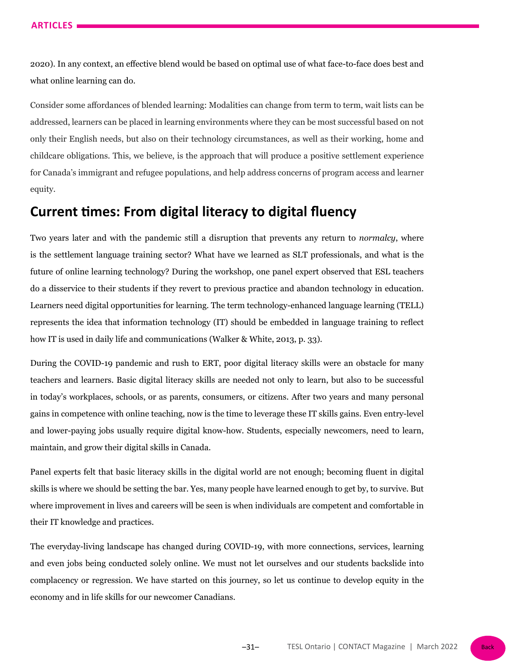2020). In any context, an effective blend would be based on optimal use of what face-to-face does best and what online learning can do.

Consider some affordances of blended learning: Modalities can change from term to term, wait lists can be addressed, learners can be placed in learning environments where they can be most successful based on not only their English needs, but also on their technology circumstances, as well as their working, home and childcare obligations. This, we believe, is the approach that will produce a positive settlement experience for Canada's immigrant and refugee populations, and help address concerns of program access and learner equity.

## **Current times: From digital literacy to digital fluency**

Two years later and with the pandemic still a disruption that prevents any return to *normalcy*, where is the settlement language training sector? What have we learned as SLT professionals, and what is the future of online learning technology? During the workshop, one panel expert observed that ESL teachers do a disservice to their students if they revert to previous practice and abandon technology in education. Learners need digital opportunities for learning. The term technology-enhanced language learning (TELL) represents the idea that information technology (IT) should be embedded in language training to reflect how IT is used in daily life and communications (Walker & White, 2013, p. 33).

During the COVID-19 pandemic and rush to ERT, poor digital literacy skills were an obstacle for many teachers and learners. Basic digital literacy skills are needed not only to learn, but also to be successful in today's workplaces, schools, or as parents, consumers, or citizens. After two years and many personal gains in competence with online teaching, now is the time to leverage these IT skills gains. Even entry-level and lower-paying jobs usually require digital know-how. Students, especially newcomers, need to learn, maintain, and grow their digital skills in Canada.

Panel experts felt that basic literacy skills in the digital world are not enough; becoming fluent in digital skills is where we should be setting the bar. Yes, many people have learned enough to get by, to survive. But where improvement in lives and careers will be seen is when individuals are competent and comfortable in their IT knowledge and practices.

The everyday-living landscape has changed during COVID-19, with more connections, services, learning and even jobs being conducted solely online. We must not let ourselves and our students backslide into complacency or regression. We have started on this journey, so let us continue to develop equity in the economy and in life skills for our newcomer Canadians.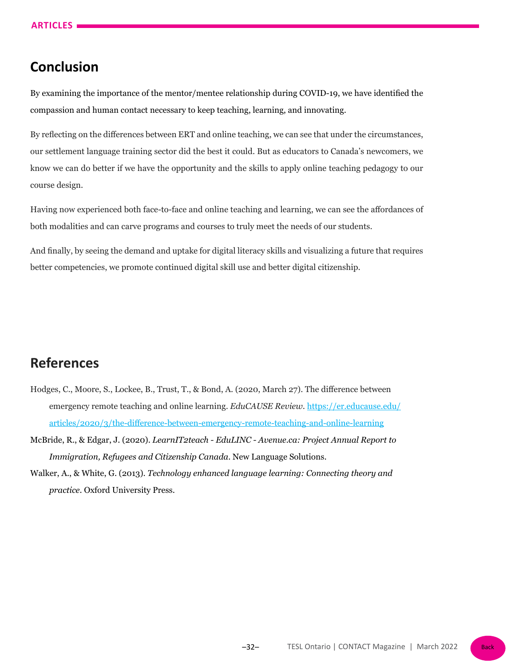# **Conclusion**

By examining the importance of the mentor/mentee relationship during COVID-19, we have identified the compassion and human contact necessary to keep teaching, learning, and innovating.

By reflecting on the differences between ERT and online teaching, we can see that under the circumstances, our settlement language training sector did the best it could. But as educators to Canada's newcomers, we know we can do better if we have the opportunity and the skills to apply online teaching pedagogy to our course design.

Having now experienced both face-to-face and online teaching and learning, we can see the affordances of both modalities and can carve programs and courses to truly meet the needs of our students.

And finally, by seeing the demand and uptake for digital literacy skills and visualizing a future that requires better competencies, we promote continued digital skill use and better digital citizenship.

# **References**

- Hodges, C., Moore, S., Lockee, B., Trust, T., & Bond, A. (2020, March 27). The difference between emergency remote teaching and online learning. *EduCAUSE Review*. [https://er.educause.edu/](https://er.educause.edu/articles/2020/3/the-difference-between-emergency-remote-teaching-and-online-learning) [articles/2020/3/the-difference-between-emergency-remote-teaching-and-online-learning](https://er.educause.edu/articles/2020/3/the-difference-between-emergency-remote-teaching-and-online-learning)
- McBride, R., & Edgar, J. (2020). *LearnIT2teach EduLINC Avenue.ca: Project Annual Report to Immigration, Refugees and Citizenship Canada*. New Language Solutions.
- Walker, A., & White, G. (2013). *Technology enhanced language learning: Connecting theory and practice*. Oxford University Press.